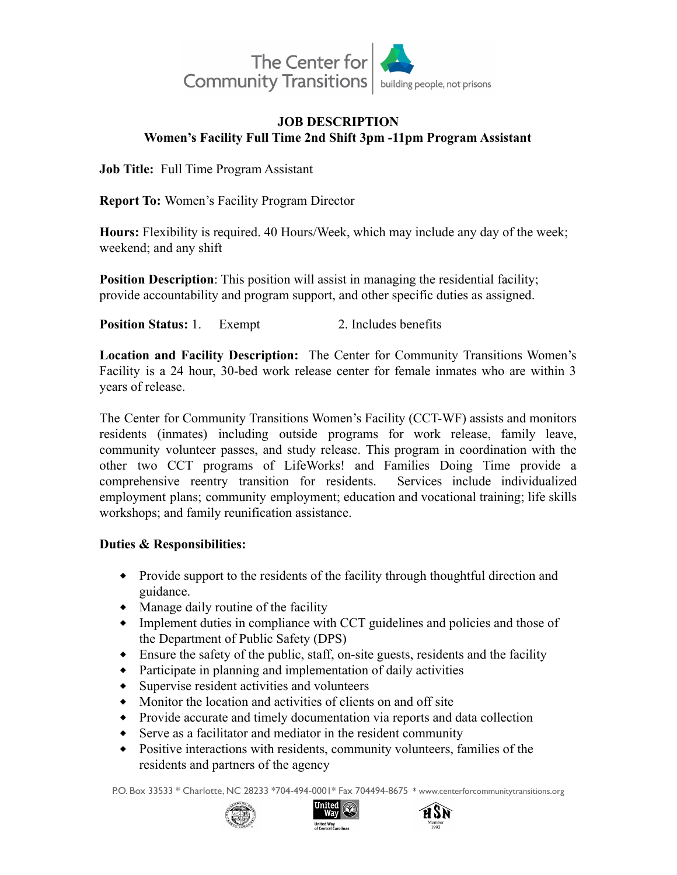

## **JOB DESCRIPTION Women's Facility Full Time 2nd Shift 3pm -11pm Program Assistant**

**Job Title:** Full Time Program Assistant

**Report To:** Women's Facility Program Director

**Hours:** Flexibility is required. 40 Hours/Week, which may include any day of the week; weekend; and any shift

**Position Description**: This position will assist in managing the residential facility; provide accountability and program support, and other specific duties as assigned.

**Position Status:** 1. Exempt 2. Includes benefits

**Location and Facility Description:** The Center for Community Transitions Women's Facility is a 24 hour, 30-bed work release center for female inmates who are within 3 years of release.

The Center for Community Transitions Women's Facility (CCT-WF) assists and monitors residents (inmates) including outside programs for work release, family leave, community volunteer passes, and study release. This program in coordination with the other two CCT programs of LifeWorks! and Families Doing Time provide a comprehensive reentry transition for residents. Services include individualized employment plans; community employment; education and vocational training; life skills workshops; and family reunification assistance.

## **Duties & Responsibilities:**

- Provide support to the residents of the facility through thoughtful direction and guidance.
- Manage daily routine of the facility
- Implement duties in compliance with CCT guidelines and policies and those of the Department of Public Safety (DPS)
- $\bullet$  Ensure the safety of the public, staff, on-site guests, residents and the facility
- ⬥ Participate in planning and implementation of daily activities
- ⬥ Supervise resident activities and volunteers
- $\bullet$  Monitor the location and activities of clients on and off site
- ⬥ Provide accurate and timely documentation via reports and data collection
- ⬥ Serve as a facilitator and mediator in the resident community
- ⬥ Positive interactions with residents, community volunteers, families of the residents and partners of the agency

P.O. Box 33533 \* Charlotte, NC 28233 \*704-494-0001 \* Fax 704494-8675 \* [www.centerforcommunitytransitions.org](http://www.centerforcommunitytransitions.org)